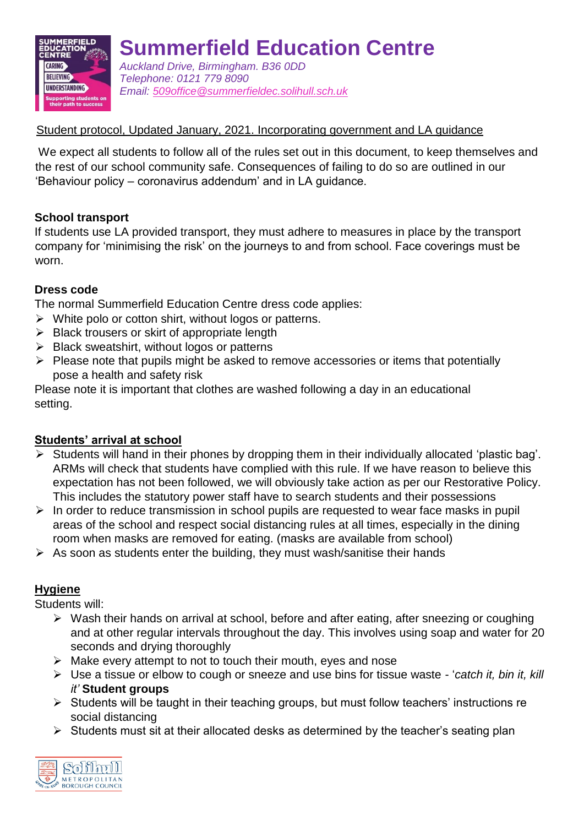

**Summerfield Education Centre** *Auckland Drive, Birmingham. B36 0DD Telephone: 0121 779 8090 Email: [509office@summerfieldec.solihull.sch.uk](mailto:509office@summerfieldec.solihull.sch.uk)*

## Student protocol, Updated January, 2021. Incorporating government and LA guidance

We expect all students to follow all of the rules set out in this document, to keep themselves and the rest of our school community safe. Consequences of failing to do so are outlined in our 'Behaviour policy – coronavirus addendum' and in LA guidance.

## **School transport**

If students use LA provided transport, they must adhere to measures in place by the transport company for 'minimising the risk' on the journeys to and from school. Face coverings must be worn.

## **Dress code**

The normal Summerfield Education Centre dress code applies:

- $\triangleright$  White polo or cotton shirt, without logos or patterns.
- $\triangleright$  Black trousers or skirt of appropriate length
- $\triangleright$  Black sweatshirt, without logos or patterns
- $\triangleright$  Please note that pupils might be asked to remove accessories or items that potentially pose a health and safety risk

Please note it is important that clothes are washed following a day in an educational setting.

#### **Students' arrival at school**

- $\triangleright$  Students will hand in their phones by dropping them in their individually allocated 'plastic bag'. ARMs will check that students have complied with this rule. If we have reason to believe this expectation has not been followed, we will obviously take action as per our Restorative Policy. This includes the statutory power staff have to search students and their possessions
- $\triangleright$  In order to reduce transmission in school pupils are requested to wear face masks in pupil areas of the school and respect social distancing rules at all times, especially in the dining room when masks are removed for eating. (masks are available from school)
- $\triangleright$  As soon as students enter the building, they must wash/sanitise their hands

## **Hygiene**

Students will:

- $\triangleright$  Wash their hands on arrival at school, before and after eating, after sneezing or coughing and at other regular intervals throughout the day. This involves using soap and water for 20 seconds and drying thoroughly
- $\triangleright$  Make every attempt to not to touch their mouth, eyes and nose
- Use a tissue or elbow to cough or sneeze and use bins for tissue waste '*catch it, bin it, kill it'* **Student groups**
- $\triangleright$  Students will be taught in their teaching groups, but must follow teachers' instructions re social distancing
- $\triangleright$  Students must sit at their allocated desks as determined by the teacher's seating plan